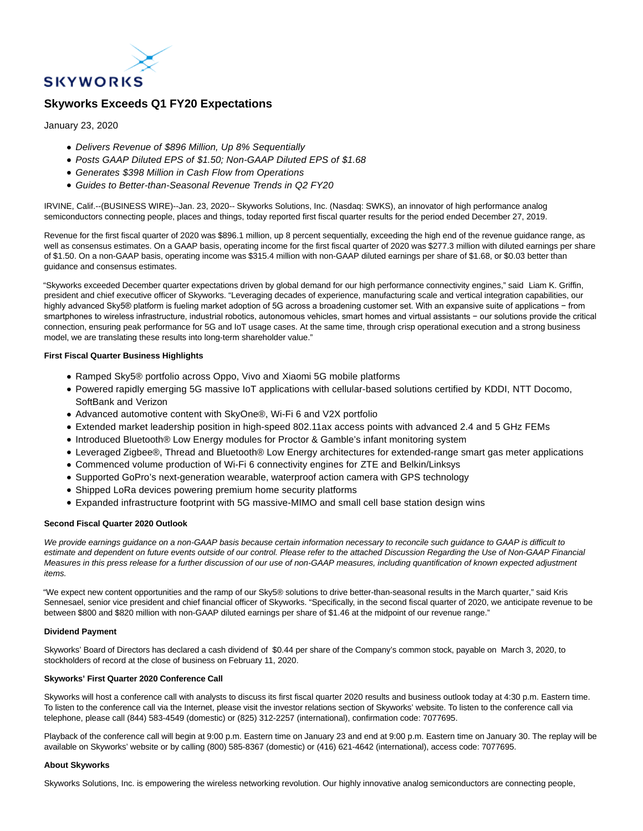

# **Skyworks Exceeds Q1 FY20 Expectations**

January 23, 2020

- Delivers Revenue of \$896 Million, Up 8% Sequentially
- Posts GAAP Diluted EPS of \$1.50; Non-GAAP Diluted EPS of \$1.68
- Generates \$398 Million in Cash Flow from Operations
- Guides to Better-than-Seasonal Revenue Trends in Q2 FY20

IRVINE, Calif.--(BUSINESS WIRE)--Jan. 23, 2020-- Skyworks Solutions, Inc. (Nasdaq: SWKS), an innovator of high performance analog semiconductors connecting people, places and things, today reported first fiscal quarter results for the period ended December 27, 2019.

Revenue for the first fiscal quarter of 2020 was \$896.1 million, up 8 percent sequentially, exceeding the high end of the revenue guidance range, as well as consensus estimates. On a GAAP basis, operating income for the first fiscal quarter of 2020 was \$277.3 million with diluted earnings per share of \$1.50. On a non-GAAP basis, operating income was \$315.4 million with non-GAAP diluted earnings per share of \$1.68, or \$0.03 better than guidance and consensus estimates.

"Skyworks exceeded December quarter expectations driven by global demand for our high performance connectivity engines," said Liam K. Griffin, president and chief executive officer of Skyworks. "Leveraging decades of experience, manufacturing scale and vertical integration capabilities, our highly advanced Sky5® platform is fueling market adoption of 5G across a broadening customer set. With an expansive suite of applications − from smartphones to wireless infrastructure, industrial robotics, autonomous vehicles, smart homes and virtual assistants − our solutions provide the critical connection, ensuring peak performance for 5G and IoT usage cases. At the same time, through crisp operational execution and a strong business model, we are translating these results into long-term shareholder value."

### **First Fiscal Quarter Business Highlights**

- Ramped Sky5® portfolio across Oppo, Vivo and Xiaomi 5G mobile platforms
- Powered rapidly emerging 5G massive IoT applications with cellular-based solutions certified by KDDI, NTT Docomo, SoftBank and Verizon
- Advanced automotive content with SkyOne®, Wi-Fi 6 and V2X portfolio
- Extended market leadership position in high-speed 802.11ax access points with advanced 2.4 and 5 GHz FEMs
- Introduced Bluetooth® Low Energy modules for Proctor & Gamble's infant monitoring system
- Leveraged Zigbee®, Thread and Bluetooth® Low Energy architectures for extended-range smart gas meter applications
- Commenced volume production of Wi-Fi 6 connectivity engines for ZTE and Belkin/Linksys
- Supported GoPro's next-generation wearable, waterproof action camera with GPS technology
- Shipped LoRa devices powering premium home security platforms
- Expanded infrastructure footprint with 5G massive-MIMO and small cell base station design wins

### **Second Fiscal Quarter 2020 Outlook**

We provide earnings guidance on a non-GAAP basis because certain information necessary to reconcile such guidance to GAAP is difficult to estimate and dependent on future events outside of our control. Please refer to the attached Discussion Regarding the Use of Non-GAAP Financial Measures in this press release for a further discussion of our use of non-GAAP measures, including quantification of known expected adjustment items.

"We expect new content opportunities and the ramp of our Sky5® solutions to drive better-than-seasonal results in the March quarter," said Kris Sennesael, senior vice president and chief financial officer of Skyworks. "Specifically, in the second fiscal quarter of 2020, we anticipate revenue to be between \$800 and \$820 million with non-GAAP diluted earnings per share of \$1.46 at the midpoint of our revenue range."

#### **Dividend Payment**

Skyworks' Board of Directors has declared a cash dividend of \$0.44 per share of the Company's common stock, payable on March 3, 2020, to stockholders of record at the close of business on February 11, 2020.

### **Skyworks' First Quarter 2020 Conference Call**

Skyworks will host a conference call with analysts to discuss its first fiscal quarter 2020 results and business outlook today at 4:30 p.m. Eastern time. To listen to the conference call via the Internet, please visit the investor relations section of Skyworks' website. To listen to the conference call via telephone, please call (844) 583-4549 (domestic) or (825) 312-2257 (international), confirmation code: 7077695.

Playback of the conference call will begin at 9:00 p.m. Eastern time on January 23 and end at 9:00 p.m. Eastern time on January 30. The replay will be available on Skyworks' website or by calling (800) 585-8367 (domestic) or (416) 621-4642 (international), access code: 7077695.

#### **About Skyworks**

Skyworks Solutions, Inc. is empowering the wireless networking revolution. Our highly innovative analog semiconductors are connecting people,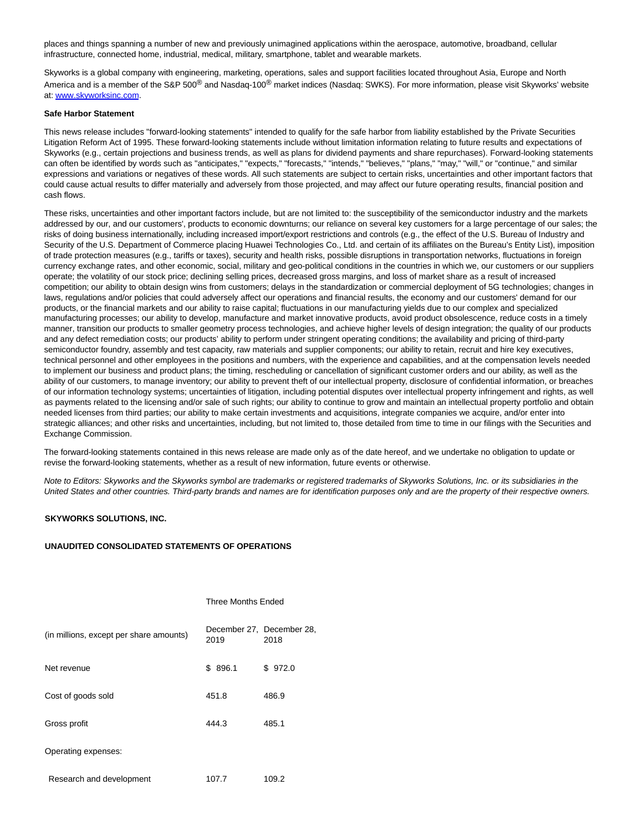places and things spanning a number of new and previously unimagined applications within the aerospace, automotive, broadband, cellular infrastructure, connected home, industrial, medical, military, smartphone, tablet and wearable markets.

Skyworks is a global company with engineering, marketing, operations, sales and support facilities located throughout Asia, Europe and North America and is a member of the S&P 500<sup>®</sup> and Nasdaq-100<sup>®</sup> market indices (Nasdaq: SWKS). For more information, please visit Skyworks' website at: [www.skyworksinc.com.](https://cts.businesswire.com/ct/CT?id=smartlink&url=http%3A%2F%2Fwww.skyworksinc.com&esheet=52163249&newsitemid=20200123005782&lan=en-US&anchor=www.skyworksinc.com&index=1&md5=78f6b54fdc30b6287ba29dbd25ad8f08)

#### **Safe Harbor Statement**

This news release includes "forward-looking statements" intended to qualify for the safe harbor from liability established by the Private Securities Litigation Reform Act of 1995. These forward-looking statements include without limitation information relating to future results and expectations of Skyworks (e.g., certain projections and business trends, as well as plans for dividend payments and share repurchases). Forward-looking statements can often be identified by words such as "anticipates," "expects," "forecasts," "intends," "believes," "plans," "may," "will," or "continue," and similar expressions and variations or negatives of these words. All such statements are subject to certain risks, uncertainties and other important factors that could cause actual results to differ materially and adversely from those projected, and may affect our future operating results, financial position and cash flows.

These risks, uncertainties and other important factors include, but are not limited to: the susceptibility of the semiconductor industry and the markets addressed by our, and our customers', products to economic downturns; our reliance on several key customers for a large percentage of our sales; the risks of doing business internationally, including increased import/export restrictions and controls (e.g., the effect of the U.S. Bureau of Industry and Security of the U.S. Department of Commerce placing Huawei Technologies Co., Ltd. and certain of its affiliates on the Bureau's Entity List), imposition of trade protection measures (e.g., tariffs or taxes), security and health risks, possible disruptions in transportation networks, fluctuations in foreign currency exchange rates, and other economic, social, military and geo-political conditions in the countries in which we, our customers or our suppliers operate; the volatility of our stock price; declining selling prices, decreased gross margins, and loss of market share as a result of increased competition; our ability to obtain design wins from customers; delays in the standardization or commercial deployment of 5G technologies; changes in laws, regulations and/or policies that could adversely affect our operations and financial results, the economy and our customers' demand for our products, or the financial markets and our ability to raise capital; fluctuations in our manufacturing yields due to our complex and specialized manufacturing processes; our ability to develop, manufacture and market innovative products, avoid product obsolescence, reduce costs in a timely manner, transition our products to smaller geometry process technologies, and achieve higher levels of design integration; the quality of our products and any defect remediation costs; our products' ability to perform under stringent operating conditions; the availability and pricing of third-party semiconductor foundry, assembly and test capacity, raw materials and supplier components; our ability to retain, recruit and hire key executives, technical personnel and other employees in the positions and numbers, with the experience and capabilities, and at the compensation levels needed to implement our business and product plans; the timing, rescheduling or cancellation of significant customer orders and our ability, as well as the ability of our customers, to manage inventory; our ability to prevent theft of our intellectual property, disclosure of confidential information, or breaches of our information technology systems; uncertainties of litigation, including potential disputes over intellectual property infringement and rights, as well as payments related to the licensing and/or sale of such rights; our ability to continue to grow and maintain an intellectual property portfolio and obtain needed licenses from third parties; our ability to make certain investments and acquisitions, integrate companies we acquire, and/or enter into strategic alliances; and other risks and uncertainties, including, but not limited to, those detailed from time to time in our filings with the Securities and Exchange Commission.

The forward-looking statements contained in this news release are made only as of the date hereof, and we undertake no obligation to update or revise the forward-looking statements, whether as a result of new information, future events or otherwise.

Note to Editors: Skyworks and the Skyworks symbol are trademarks or registered trademarks of Skyworks Solutions, Inc. or its subsidiaries in the United States and other countries. Third-party brands and names are for identification purposes only and are the property of their respective owners.

### **SKYWORKS SOLUTIONS, INC.**

### **UNAUDITED CONSOLIDATED STATEMENTS OF OPERATIONS**

|                                         | <b>Three Months Ended</b> |                                   |  |
|-----------------------------------------|---------------------------|-----------------------------------|--|
| (in millions, except per share amounts) | 2019                      | December 27, December 28,<br>2018 |  |
| Net revenue                             | \$.<br>896.1              | \$972.0                           |  |
| Cost of goods sold                      | 451.8                     | 486.9                             |  |
| Gross profit                            | 444.3                     | 485.1                             |  |
| Operating expenses:                     |                           |                                   |  |
| Research and development                | 107.7                     | 109.2                             |  |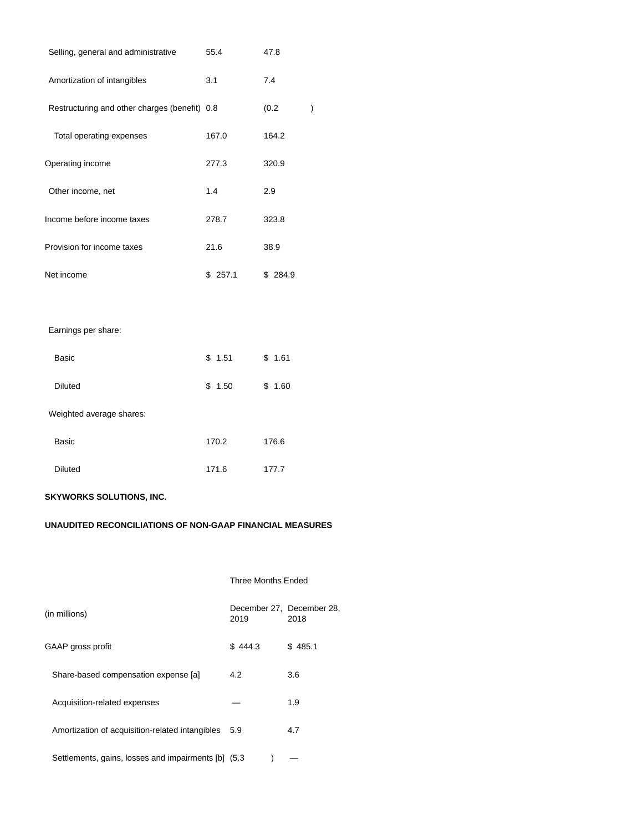| Selling, general and administrative           | 55.4    | 47.8       |
|-----------------------------------------------|---------|------------|
| Amortization of intangibles                   | 3.1     | 7.4        |
| Restructuring and other charges (benefit) 0.8 |         | (0.2)<br>) |
| Total operating expenses                      | 167.0   | 164.2      |
| Operating income                              | 277.3   | 320.9      |
| Other income, net                             | 1.4     | 2.9        |
| Income before income taxes                    | 278.7   | 323.8      |
| Provision for income taxes                    | 21.6    | 38.9       |
| Net income                                    | \$257.1 | \$284.9    |
|                                               |         |            |
| Earnings per share:                           |         |            |
| <b>Basic</b>                                  | \$1.51  | \$1.61     |
| <b>Diluted</b>                                | \$1.50  | \$1.60     |
| Weighted average shares:                      |         |            |
| <b>Basic</b>                                  | 170.2   | 176.6      |
| <b>Diluted</b>                                | 171.6   | 177.7      |
|                                               |         |            |

# **SKYWORKS SOLUTIONS, INC.**

## **UNAUDITED RECONCILIATIONS OF NON-GAAP FINANCIAL MEASURES**

|                                                      | <b>Three Months Ended</b> |                                   |
|------------------------------------------------------|---------------------------|-----------------------------------|
| (in millions)                                        | 2019                      | December 27, December 28,<br>2018 |
| GAAP gross profit                                    | \$444.3                   | \$485.1                           |
| Share-based compensation expense [a]                 | 4.2                       | 3.6                               |
| Acquisition-related expenses                         |                           | 1.9                               |
| Amortization of acquisition-related intangibles      | 5.9                       | 4.7                               |
| Settlements, gains, losses and impairments [b] (5.3) |                           |                                   |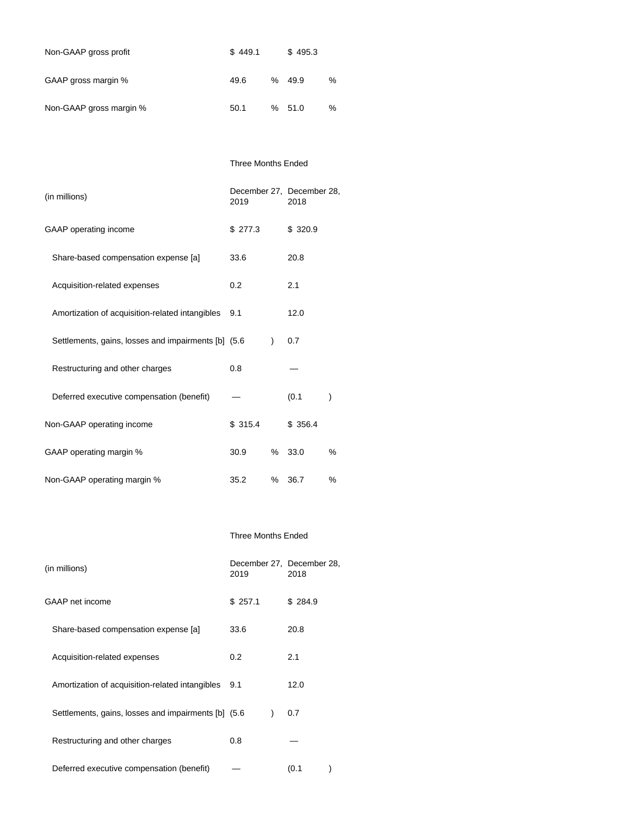| Non-GAAP gross profit   | \$449.1 |   | \$495.3 |   |  |
|-------------------------|---------|---|---------|---|--|
| GAAP gross margin %     | 49.6    | ℅ | 49.9    | % |  |
| Non-GAAP gross margin % | 50.1    | ℅ | 51.0    | % |  |

### Three Months Ended

Three Months Ended

| (in millions)                                        | December 27, December 28,<br>2019 |           | 2018    |      |
|------------------------------------------------------|-----------------------------------|-----------|---------|------|
| GAAP operating income                                | \$277.3                           |           | \$320.9 |      |
| Share-based compensation expense [a]                 | 33.6                              |           | 20.8    |      |
| Acquisition-related expenses                         | 0.2                               |           | 2.1     |      |
| Amortization of acquisition-related intangibles      | 9.1                               |           | 12.0    |      |
| Settlements, gains, losses and impairments [b] (5.6) |                                   | $\lambda$ | 0.7     |      |
| Restructuring and other charges                      | 0.8                               |           |         |      |
| Deferred executive compensation (benefit)            |                                   |           | (0.1)   |      |
| Non-GAAP operating income                            | \$315.4                           |           | \$356.4 |      |
| GAAP operating margin %                              | 30.9                              |           | % 33.0  | %    |
| Non-GAAP operating margin %                          | 35.2                              | %         | 36.7    | $\%$ |

| (in millions)                                        | 2019    | December 27, December 28,<br>2018 |
|------------------------------------------------------|---------|-----------------------------------|
| GAAP net income                                      | \$257.1 | \$284.9                           |
| Share-based compensation expense [a]                 | 33.6    | 20.8                              |
| Acquisition-related expenses                         | 0.2     | 2.1                               |
| Amortization of acquisition-related intangibles      | 9.1     | 12.0                              |
| Settlements, gains, losses and impairments [b] (5.6) |         | 0.7                               |
| Restructuring and other charges                      | 0.8     |                                   |
| Deferred executive compensation (benefit)            |         | (0.1)                             |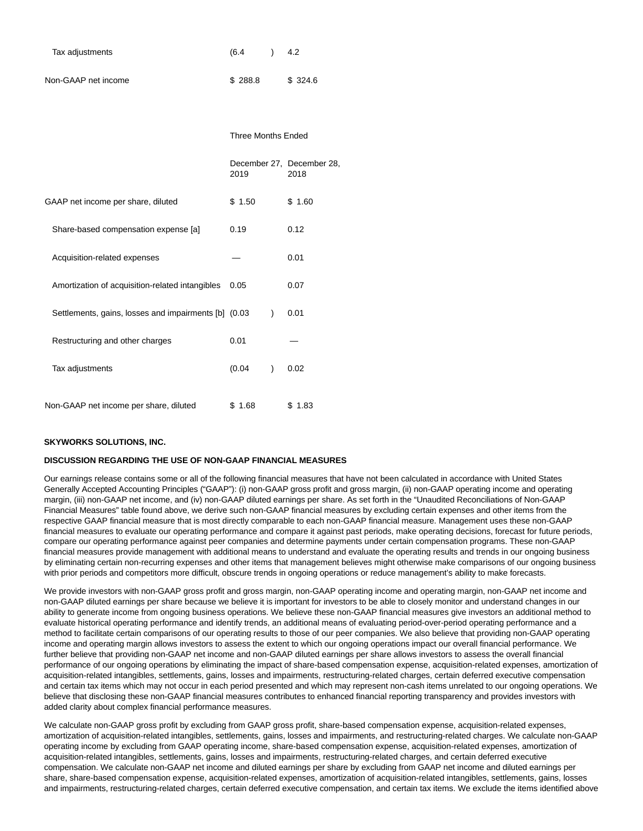| Tax adjustments     | (6.4    | 4.2     |
|---------------------|---------|---------|
| Non-GAAP net income | \$288.8 | \$324.6 |

|                                                      | <b>Three Months Ended</b> |                                   |
|------------------------------------------------------|---------------------------|-----------------------------------|
|                                                      | 2019                      | December 27, December 28,<br>2018 |
| GAAP net income per share, diluted                   | \$1.50                    | \$1.60                            |
| Share-based compensation expense [a]                 | 0.19                      | 0.12                              |
| Acquisition-related expenses                         |                           | 0.01                              |
| Amortization of acquisition-related intangibles      | 0.05                      | 0.07                              |
| Settlements, gains, losses and impairments [b] (0.03 | $\mathcal{E}$             | 0.01                              |
| Restructuring and other charges                      | 0.01                      |                                   |
| Tax adjustments                                      | (0.04)<br>$\lambda$       | 0.02                              |
| Non-GAAP net income per share, diluted               | \$1.68                    | \$1.83                            |

### **SKYWORKS SOLUTIONS, INC.**

## **DISCUSSION REGARDING THE USE OF NON-GAAP FINANCIAL MEASURES**

Our earnings release contains some or all of the following financial measures that have not been calculated in accordance with United States Generally Accepted Accounting Principles ("GAAP"): (i) non-GAAP gross profit and gross margin, (ii) non-GAAP operating income and operating margin, (iii) non-GAAP net income, and (iv) non-GAAP diluted earnings per share. As set forth in the "Unaudited Reconciliations of Non-GAAP Financial Measures" table found above, we derive such non-GAAP financial measures by excluding certain expenses and other items from the respective GAAP financial measure that is most directly comparable to each non-GAAP financial measure. Management uses these non-GAAP financial measures to evaluate our operating performance and compare it against past periods, make operating decisions, forecast for future periods, compare our operating performance against peer companies and determine payments under certain compensation programs. These non-GAAP financial measures provide management with additional means to understand and evaluate the operating results and trends in our ongoing business by eliminating certain non-recurring expenses and other items that management believes might otherwise make comparisons of our ongoing business with prior periods and competitors more difficult, obscure trends in ongoing operations or reduce management's ability to make forecasts.

We provide investors with non-GAAP gross profit and gross margin, non-GAAP operating income and operating margin, non-GAAP net income and non-GAAP diluted earnings per share because we believe it is important for investors to be able to closely monitor and understand changes in our ability to generate income from ongoing business operations. We believe these non-GAAP financial measures give investors an additional method to evaluate historical operating performance and identify trends, an additional means of evaluating period-over-period operating performance and a method to facilitate certain comparisons of our operating results to those of our peer companies. We also believe that providing non-GAAP operating income and operating margin allows investors to assess the extent to which our ongoing operations impact our overall financial performance. We further believe that providing non-GAAP net income and non-GAAP diluted earnings per share allows investors to assess the overall financial performance of our ongoing operations by eliminating the impact of share-based compensation expense, acquisition-related expenses, amortization of acquisition-related intangibles, settlements, gains, losses and impairments, restructuring-related charges, certain deferred executive compensation and certain tax items which may not occur in each period presented and which may represent non-cash items unrelated to our ongoing operations. We believe that disclosing these non-GAAP financial measures contributes to enhanced financial reporting transparency and provides investors with added clarity about complex financial performance measures.

We calculate non-GAAP gross profit by excluding from GAAP gross profit, share-based compensation expense, acquisition-related expenses, amortization of acquisition-related intangibles, settlements, gains, losses and impairments, and restructuring-related charges. We calculate non-GAAP operating income by excluding from GAAP operating income, share-based compensation expense, acquisition-related expenses, amortization of acquisition-related intangibles, settlements, gains, losses and impairments, restructuring-related charges, and certain deferred executive compensation. We calculate non-GAAP net income and diluted earnings per share by excluding from GAAP net income and diluted earnings per share, share-based compensation expense, acquisition-related expenses, amortization of acquisition-related intangibles, settlements, gains, losses and impairments, restructuring-related charges, certain deferred executive compensation, and certain tax items. We exclude the items identified above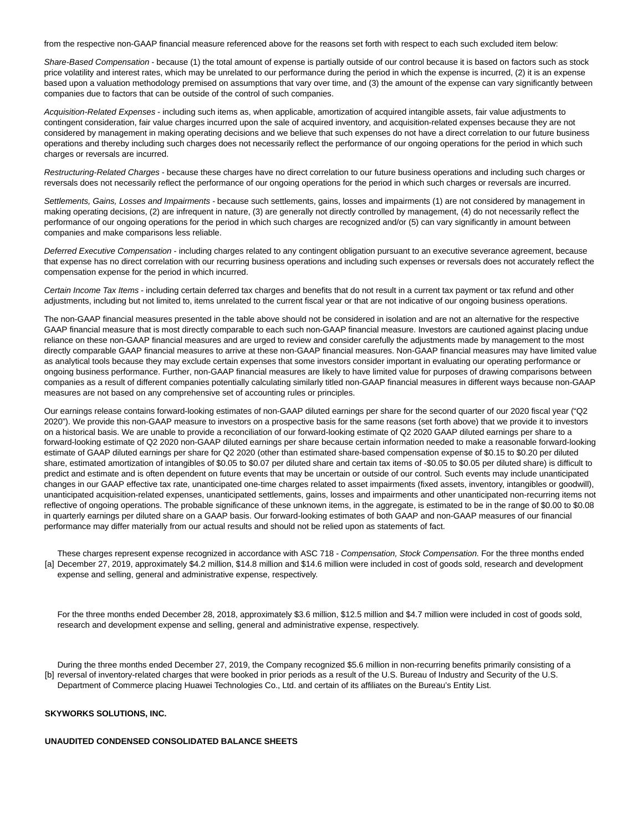from the respective non-GAAP financial measure referenced above for the reasons set forth with respect to each such excluded item below:

Share-Based Compensation - because (1) the total amount of expense is partially outside of our control because it is based on factors such as stock price volatility and interest rates, which may be unrelated to our performance during the period in which the expense is incurred, (2) it is an expense based upon a valuation methodology premised on assumptions that vary over time, and (3) the amount of the expense can vary significantly between companies due to factors that can be outside of the control of such companies.

Acquisition-Related Expenses - including such items as, when applicable, amortization of acquired intangible assets, fair value adjustments to contingent consideration, fair value charges incurred upon the sale of acquired inventory, and acquisition-related expenses because they are not considered by management in making operating decisions and we believe that such expenses do not have a direct correlation to our future business operations and thereby including such charges does not necessarily reflect the performance of our ongoing operations for the period in which such charges or reversals are incurred.

Restructuring-Related Charges - because these charges have no direct correlation to our future business operations and including such charges or reversals does not necessarily reflect the performance of our ongoing operations for the period in which such charges or reversals are incurred.

Settlements, Gains, Losses and Impairments - because such settlements, gains, losses and impairments (1) are not considered by management in making operating decisions, (2) are infrequent in nature, (3) are generally not directly controlled by management, (4) do not necessarily reflect the performance of our ongoing operations for the period in which such charges are recognized and/or (5) can vary significantly in amount between companies and make comparisons less reliable.

Deferred Executive Compensation - including charges related to any contingent obligation pursuant to an executive severance agreement, because that expense has no direct correlation with our recurring business operations and including such expenses or reversals does not accurately reflect the compensation expense for the period in which incurred.

Certain Income Tax Items - including certain deferred tax charges and benefits that do not result in a current tax payment or tax refund and other adjustments, including but not limited to, items unrelated to the current fiscal year or that are not indicative of our ongoing business operations.

The non-GAAP financial measures presented in the table above should not be considered in isolation and are not an alternative for the respective GAAP financial measure that is most directly comparable to each such non-GAAP financial measure. Investors are cautioned against placing undue reliance on these non-GAAP financial measures and are urged to review and consider carefully the adjustments made by management to the most directly comparable GAAP financial measures to arrive at these non-GAAP financial measures. Non-GAAP financial measures may have limited value as analytical tools because they may exclude certain expenses that some investors consider important in evaluating our operating performance or ongoing business performance. Further, non-GAAP financial measures are likely to have limited value for purposes of drawing comparisons between companies as a result of different companies potentially calculating similarly titled non-GAAP financial measures in different ways because non-GAAP measures are not based on any comprehensive set of accounting rules or principles.

Our earnings release contains forward-looking estimates of non-GAAP diluted earnings per share for the second quarter of our 2020 fiscal year ("Q2 2020"). We provide this non-GAAP measure to investors on a prospective basis for the same reasons (set forth above) that we provide it to investors on a historical basis. We are unable to provide a reconciliation of our forward-looking estimate of Q2 2020 GAAP diluted earnings per share to a forward-looking estimate of Q2 2020 non-GAAP diluted earnings per share because certain information needed to make a reasonable forward-looking estimate of GAAP diluted earnings per share for Q2 2020 (other than estimated share-based compensation expense of \$0.15 to \$0.20 per diluted share, estimated amortization of intangibles of \$0.05 to \$0.07 per diluted share and certain tax items of -\$0.05 to \$0.05 per diluted share) is difficult to predict and estimate and is often dependent on future events that may be uncertain or outside of our control. Such events may include unanticipated changes in our GAAP effective tax rate, unanticipated one-time charges related to asset impairments (fixed assets, inventory, intangibles or goodwill), unanticipated acquisition-related expenses, unanticipated settlements, gains, losses and impairments and other unanticipated non-recurring items not reflective of ongoing operations. The probable significance of these unknown items, in the aggregate, is estimated to be in the range of \$0.00 to \$0.08 in quarterly earnings per diluted share on a GAAP basis. Our forward-looking estimates of both GAAP and non-GAAP measures of our financial performance may differ materially from our actual results and should not be relied upon as statements of fact.

[a] December 27, 2019, approximately \$4.2 million, \$14.8 million and \$14.6 million were included in cost of goods sold, research and development These charges represent expense recognized in accordance with ASC 718 - Compensation, Stock Compensation. For the three months ended expense and selling, general and administrative expense, respectively.

For the three months ended December 28, 2018, approximately \$3.6 million, \$12.5 million and \$4.7 million were included in cost of goods sold, research and development expense and selling, general and administrative expense, respectively.

[b] reversal of inventory-related charges that were booked in prior periods as a result of the U.S. Bureau of Industry and Security of the U.S. During the three months ended December 27, 2019, the Company recognized \$5.6 million in non-recurring benefits primarily consisting of a Department of Commerce placing Huawei Technologies Co., Ltd. and certain of its affiliates on the Bureau's Entity List.

### **SKYWORKS SOLUTIONS, INC.**

## **UNAUDITED CONDENSED CONSOLIDATED BALANCE SHEETS**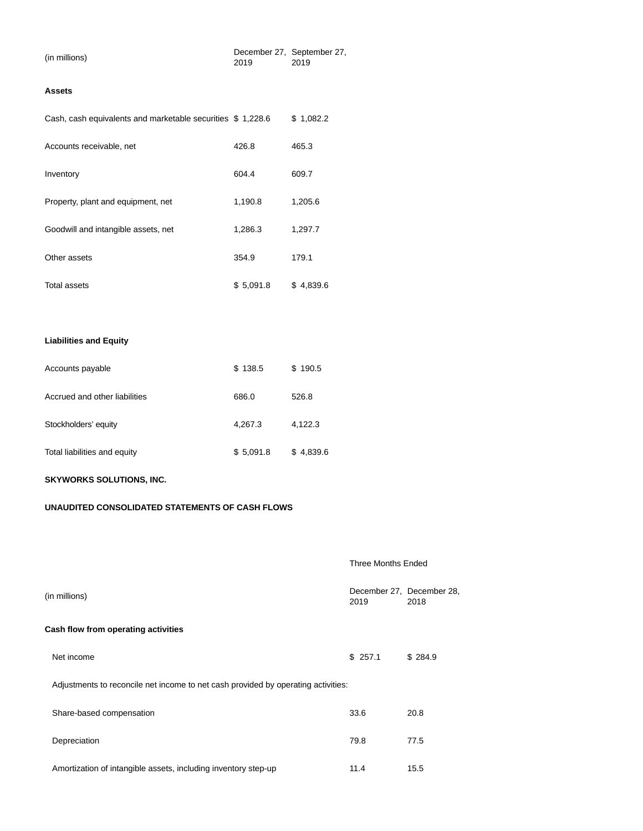| (in millions)                                               | 2019      | December 27, September 27,<br>2019 |                           |                                   |
|-------------------------------------------------------------|-----------|------------------------------------|---------------------------|-----------------------------------|
| <b>Assets</b>                                               |           |                                    |                           |                                   |
| Cash, cash equivalents and marketable securities \$ 1,228.6 |           | \$1,082.2                          |                           |                                   |
| Accounts receivable, net                                    | 426.8     | 465.3                              |                           |                                   |
| Inventory                                                   | 604.4     | 609.7                              |                           |                                   |
| Property, plant and equipment, net                          | 1,190.8   | 1,205.6                            |                           |                                   |
| Goodwill and intangible assets, net                         | 1,286.3   | 1,297.7                            |                           |                                   |
| Other assets                                                | 354.9     | 179.1                              |                           |                                   |
| <b>Total assets</b>                                         | \$5,091.8 | \$4,839.6                          |                           |                                   |
|                                                             |           |                                    |                           |                                   |
| <b>Liabilities and Equity</b>                               |           |                                    |                           |                                   |
| Accounts payable                                            | \$138.5   | \$190.5                            |                           |                                   |
| Accrued and other liabilities                               | 686.0     | 526.8                              |                           |                                   |
| Stockholders' equity                                        | 4,267.3   | 4,122.3                            |                           |                                   |
| Total liabilities and equity                                | \$5,091.8 | \$4,839.6                          |                           |                                   |
| <b>SKYWORKS SOLUTIONS, INC.</b>                             |           |                                    |                           |                                   |
| UNAUDITED CONSOLIDATED STATEMENTS OF CASH FLOWS             |           |                                    |                           |                                   |
|                                                             |           |                                    |                           |                                   |
|                                                             |           |                                    | <b>Three Months Ended</b> |                                   |
| (in millions)                                               |           |                                    | 2019                      | December 27, December 28,<br>2018 |

# **Cash flow from operating activities**

| Net income | $$257.1$ $$284.9$ |
|------------|-------------------|
|            |                   |

Adjustments to reconcile net income to net cash provided by operating activities:

| Share-based compensation                                       | 33.6 | 20.8 |
|----------------------------------------------------------------|------|------|
| Depreciation                                                   | 79.8 | 77.5 |
| Amortization of intangible assets, including inventory step-up | 11.4 | 15.5 |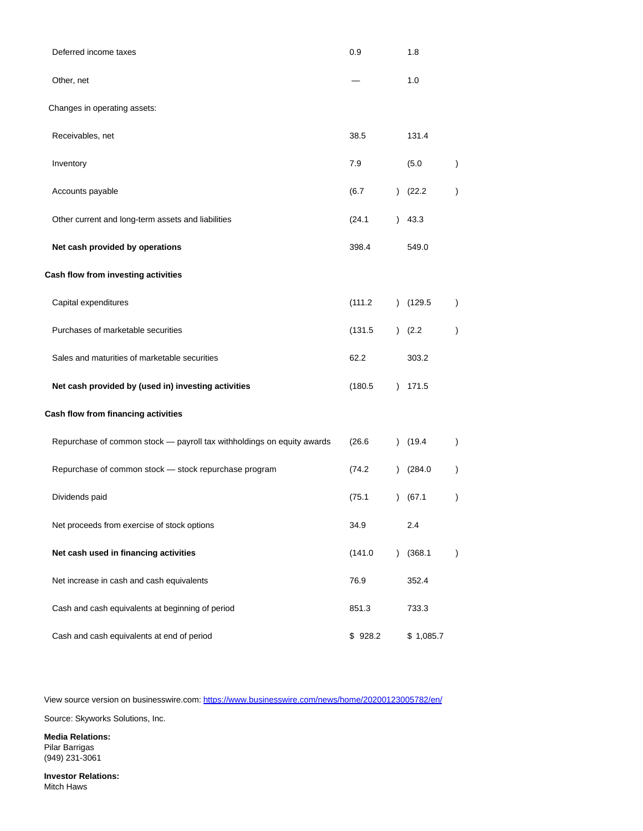| Deferred income taxes                                                  | 0.9     |               | 1.8       |   |
|------------------------------------------------------------------------|---------|---------------|-----------|---|
| Other, net                                                             |         |               | 1.0       |   |
| Changes in operating assets:                                           |         |               |           |   |
| Receivables, net                                                       | 38.5    |               | 131.4     |   |
| Inventory                                                              | 7.9     |               | (5.0)     |   |
| Accounts payable                                                       | (6.7)   |               | (22.2)    |   |
| Other current and long-term assets and liabilities                     | (24.1)  |               | 43.3      |   |
| Net cash provided by operations                                        | 398.4   |               | 549.0     |   |
| Cash flow from investing activities                                    |         |               |           |   |
| Capital expenditures                                                   | (111.2) |               | (129.5)   |   |
| Purchases of marketable securities                                     | (131.5) |               | (2.2)     |   |
| Sales and maturities of marketable securities                          | 62.2    |               | 303.2     |   |
| Net cash provided by (used in) investing activities                    | (180.5) |               | ) 171.5   |   |
| Cash flow from financing activities                                    |         |               |           |   |
| Repurchase of common stock - payroll tax withholdings on equity awards | (26.6)  |               | (19.4)    |   |
| Repurchase of common stock - stock repurchase program                  | (74.2)  |               | (284.0)   |   |
| Dividends paid                                                         | (75.1)  |               | (67.1)    | ) |
| Net proceeds from exercise of stock options                            | 34.9    |               | 2.4       |   |
| Net cash used in financing activities                                  | (141.0) | $\mathcal{L}$ | (368.1)   |   |
| Net increase in cash and cash equivalents                              | 76.9    |               | 352.4     |   |
| Cash and cash equivalents at beginning of period                       | 851.3   |               | 733.3     |   |
| Cash and cash equivalents at end of period                             | \$928.2 |               | \$1,085.7 |   |

View source version on businesswire.com:<https://www.businesswire.com/news/home/20200123005782/en/>

Source: Skyworks Solutions, Inc.

**Media Relations:** Pilar Barrigas (949) 231-3061

**Investor Relations:** Mitch Haws